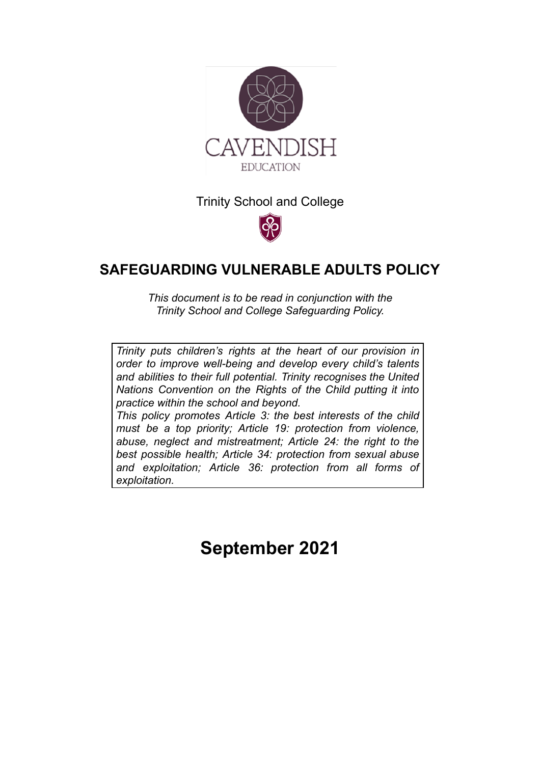

Trinity School and College



# **SAFEGUARDING VULNERABLE ADULTS POLICY**

*This document is to be read in conjunction with the Trinity School and College Safeguarding Policy.*

*Trinity puts [children's](http://www.unicef.org.uk/rights-respecting-schools/about-the-award/child-rights-in-schools/) rights at the heart of our provision in order to improve well-being and develop every child's talents and abilities to their full potential. Trinity recognises the [United](http://www.unicef.org.uk/UNICEFs-Work/UN-Convention/) Nations [Convention](http://www.unicef.org.uk/UNICEFs-Work/UN-Convention/) on the Rights of the Child putting it into practice within the school and beyond.*

*This policy promotes Article 3: the best interests of the child must be a top priority; Article 19: protection from violence, abuse, neglect and mistreatment; Article 24: the right to the best possible health; Article 34: protection from sexual abuse and exploitation; Article 36: protection from all forms of exploitation.*

**September 2021**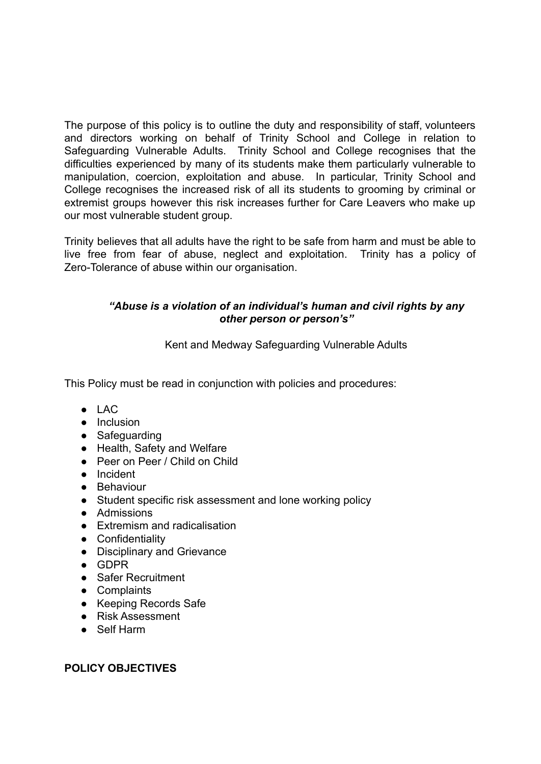The purpose of this policy is to outline the duty and responsibility of staff, volunteers and directors working on behalf of Trinity School and College in relation to Safeguarding Vulnerable Adults. Trinity School and College recognises that the difficulties experienced by many of its students make them particularly vulnerable to manipulation, coercion, exploitation and abuse. In particular, Trinity School and College recognises the increased risk of all its students to grooming by criminal or extremist groups however this risk increases further for Care Leavers who make up our most vulnerable student group.

Trinity believes that all adults have the right to be safe from harm and must be able to live free from fear of abuse, neglect and exploitation. Trinity has a policy of Zero-Tolerance of abuse within our organisation.

# *"Abuse is a violation of an individual's human and civil rights by any other person or person's"*

Kent and Medway Safeguarding Vulnerable Adults

This Policy must be read in conjunction with policies and procedures:

- LAC
- Inclusion
- Safeguarding
- Health, Safety and Welfare
- Peer on Peer / Child on Child
- Incident
- Behaviour
- Student specific risk assessment and lone working policy
- Admissions
- Extremism and radicalisation
- Confidentiality
- Disciplinary and Grievance
- GDPR
- Safer Recruitment
- Complaints
- Keeping Records Safe
- Risk Assessment
- Self Harm

# **POLICY OBJECTIVES**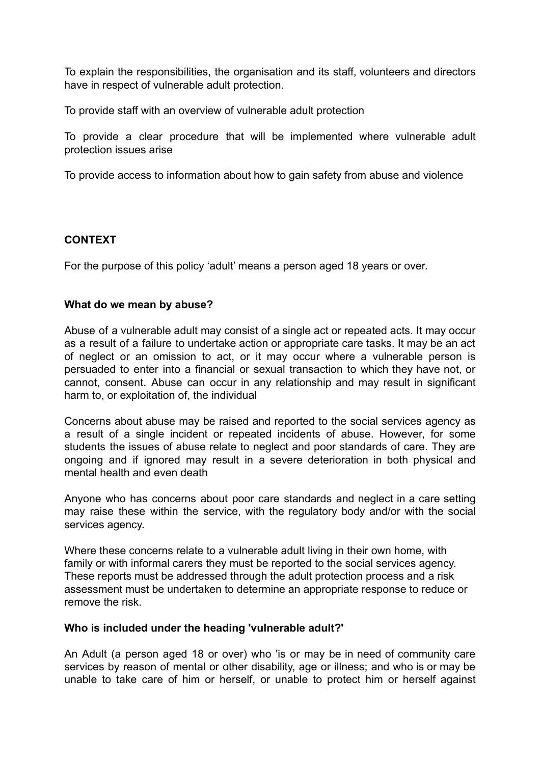To explain the responsibilities, the organisation and its staff, volunteers and directors have in respect of vulnerable adult protection.

To provide staff with an overview of vulnerable adult protection

To provide a clear procedure that will be implemented where vulnerable adult protection issues arise

To provide access to information about how to gain safety from abuse and violence

#### **CONTEXT**

For the purpose of this policy 'adult' means a person aged 18 years or over.

#### **What do we mean by abuse?**

Abuse of a vulnerable adult may consist of a single act or repeated acts. It may occur as a result of a failure to undertake action or appropriate care tasks. It may be an act of neglect or an omission to act, or it may occur where a vulnerable person is persuaded to enter into a financial or sexual transaction to which they have not, or cannot, consent. Abuse can occur in any relationship and may result in significant harm to, or exploitation of, the individual

Concerns about abuse may be raised and reported to the social services agency as a result of a single incident or repeated incidents of abuse. However, for some students the issues of abuse relate to neglect and poor standards of care. They are ongoing and if ignored may result in a severe deterioration in both physical and mental health and even death

Anyone who has concerns about poor care standards and neglect in a care setting may raise these within the service, with the regulatory body and/or with the social services agency.

Where these concerns relate to a vulnerable adult living in their own home, with family or with informal carers they must be reported to the social services agency. These reports must be addressed through the adult protection process and a risk assessment must be undertaken to determine an appropriate response to reduce or remove the risk.

#### **Who is included under the heading 'vulnerable adult?'**

An Adult (a person aged 18 or over) who 'is or may be in need of community care services by reason of mental or other disability, age or illness; and who is or may be unable to take care of him or herself, or unable to protect him or herself against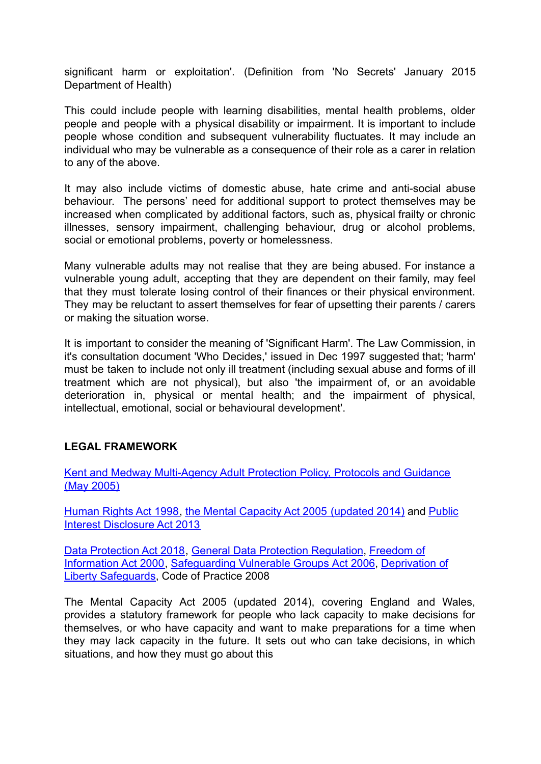significant harm or exploitation'. (Definition from 'No Secrets' January 2015 Department of Health)

This could include people with learning disabilities, mental health problems, older people and people with a physical disability or impairment. It is important to include people whose condition and subsequent vulnerability fluctuates. It may include an individual who may be vulnerable as a consequence of their role as a carer in relation to any of the above.

It may also include victims of domestic abuse, hate crime and anti-social abuse behaviour. The persons' need for additional support to protect themselves may be increased when complicated by additional factors, such as, physical frailty or chronic illnesses, sensory impairment, challenging behaviour, drug or alcohol problems, social or emotional problems, poverty or homelessness.

Many vulnerable adults may not realise that they are being abused. For instance a vulnerable young adult, accepting that they are dependent on their family, may feel that they must tolerate losing control of their finances or their physical environment. They may be reluctant to assert themselves for fear of upsetting their parents / carers or making the situation worse.

It is important to consider the meaning of 'Significant Harm'. The Law Commission, in it's consultation document 'Who Decides,' issued in Dec 1997 suggested that; 'harm' must be taken to include not only ill treatment (including sexual abuse and forms of ill treatment which are not physical), but also 'the impairment of, or an avoidable deterioration in, physical or mental health; and the impairment of physical, intellectual, emotional, social or behavioural development'.

# **LEGAL FRAMEWORK**

[Kent and Medway Multi-Agency Adult Protection Policy, Protocols and Guidance](https://www.kent.gov.uk/__data/assets/pdf_file/0018/11574/Multi-Agency-Safeguarding-Adults-Policy,-Protocols-and-Guidance-for-Kent-and-Medway.pdf) [\(May 2005\)](https://www.kent.gov.uk/__data/assets/pdf_file/0018/11574/Multi-Agency-Safeguarding-Adults-Policy,-Protocols-and-Guidance-for-Kent-and-Medway.pdf)

[Human Rights Act 1998,](https://www.legislation.gov.uk/ukpga/1998/42/contents) [the Mental Capacity Act 2005](https://www.gov.uk/government/collections/mental-capacity-act-making-decisions) (updated 2014) and [Public](https://www.gov.uk/government/publications/the-public-interest-disclosure-act) [Interest Disclosure Act 2013](https://www.gov.uk/government/publications/the-public-interest-disclosure-act)

[Data Protection Act 2018](https://www.gov.uk/data-protection), [General Data Protection](https://www.gov.uk/government/publications/guide-to-the-general-data-protection-regulation) Regulation, [Freedom of](https://www.gov.uk/government/publications/freedom-of-information-code-of-practice) [Information Act 2000,](https://www.gov.uk/government/publications/freedom-of-information-code-of-practice) [Safeguarding Vulnerable Groups](http://www.legislation.gov.uk/all?title=Safeguarding%20Vulnerable%20Groups%20Act%202006) Act 2006, [Deprivation of](https://www.gov.uk/government/publications/deprivation-of-liberty-safeguards-forms-and-guidance) [Liberty Safeguards,](https://www.gov.uk/government/publications/deprivation-of-liberty-safeguards-forms-and-guidance) Code of Practice 2008

The Mental Capacity Act 2005 (updated 2014), covering England and Wales, provides a statutory framework for people who lack capacity to make decisions for themselves, or who have capacity and want to make preparations for a time when they may lack capacity in the future. It sets out who can take decisions, in which situations, and how they must go about this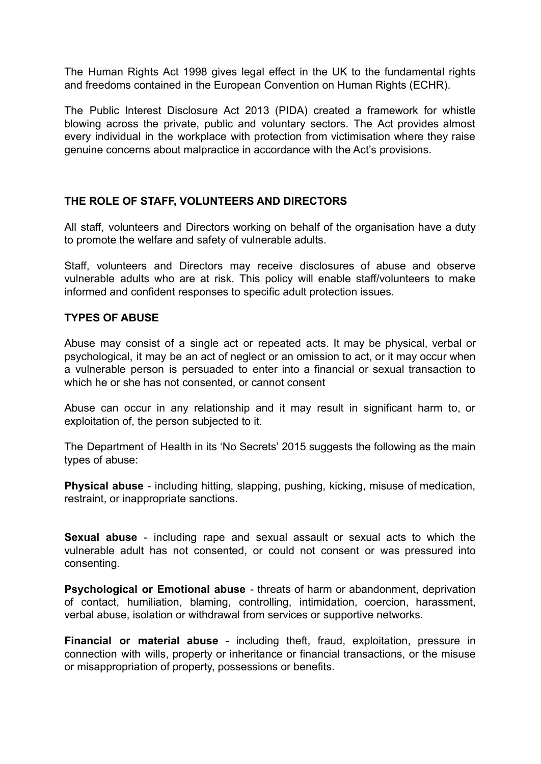The Human Rights Act 1998 gives legal effect in the UK to the fundamental rights and freedoms contained in the European Convention on Human Rights (ECHR).

The Public Interest Disclosure Act 2013 (PIDA) created a framework for whistle blowing across the private, public and voluntary sectors. The Act provides almost every individual in the workplace with protection from victimisation where they raise genuine concerns about malpractice in accordance with the Act's provisions.

# **THE ROLE OF STAFF, VOLUNTEERS AND DIRECTORS**

All staff, volunteers and Directors working on behalf of the organisation have a duty to promote the welfare and safety of vulnerable adults.

Staff, volunteers and Directors may receive disclosures of abuse and observe vulnerable adults who are at risk. This policy will enable staff/volunteers to make informed and confident responses to specific adult protection issues.

#### **TYPES OF ABUSE**

Abuse may consist of a single act or repeated acts. It may be physical, verbal or psychological, it may be an act of neglect or an omission to act, or it may occur when a vulnerable person is persuaded to enter into a financial or sexual transaction to which he or she has not consented, or cannot consent

Abuse can occur in any relationship and it may result in significant harm to, or exploitation of, the person subjected to it.

The Department of Health in its 'No Secrets' 2015 suggests the following as the main types of abuse:

**Physical abuse** - including hitting, slapping, pushing, kicking, misuse of medication, restraint, or inappropriate sanctions.

**Sexual abuse** - including rape and sexual assault or sexual acts to which the vulnerable adult has not consented, or could not consent or was pressured into consenting.

**Psychological or Emotional abuse** - threats of harm or abandonment, deprivation of contact, humiliation, blaming, controlling, intimidation, coercion, harassment, verbal abuse, isolation or withdrawal from services or supportive networks.

**Financial or material abuse** - including theft, fraud, exploitation, pressure in connection with wills, property or inheritance or financial transactions, or the misuse or misappropriation of property, possessions or benefits.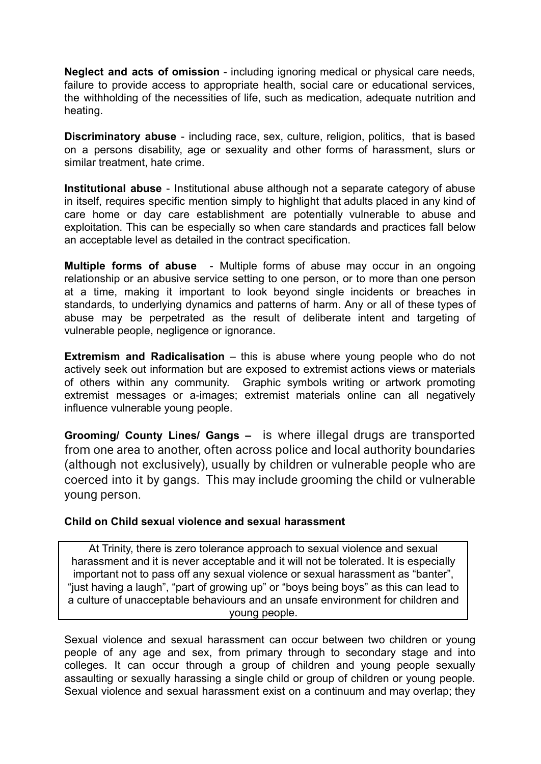**Neglect and acts of omission** - including ignoring medical or physical care needs, failure to provide access to appropriate health, social care or educational services, the withholding of the necessities of life, such as medication, adequate nutrition and heating.

**Discriminatory abuse** - including race, sex, culture, religion, politics, that is based on a persons disability, age or sexuality and other forms of harassment, slurs or similar treatment, hate crime.

**Institutional abuse** - Institutional abuse although not a separate category of abuse in itself, requires specific mention simply to highlight that adults placed in any kind of care home or day care establishment are potentially vulnerable to abuse and exploitation. This can be especially so when care standards and practices fall below an acceptable level as detailed in the contract specification.

**Multiple forms of abuse** - Multiple forms of abuse may occur in an ongoing relationship or an abusive service setting to one person, or to more than one person at a time, making it important to look beyond single incidents or breaches in standards, to underlying dynamics and patterns of harm. Any or all of these types of abuse may be perpetrated as the result of deliberate intent and targeting of vulnerable people, negligence or ignorance.

**Extremism and Radicalisation** – this is abuse where young people who do not actively seek out information but are exposed to extremist actions views or materials of others within any community. Graphic symbols writing or artwork promoting extremist messages or a-images; extremist materials online can all negatively influence vulnerable young people.

**Grooming/ County Lines/ Gangs –** is where illegal drugs are transported from one area to another, often across police and local authority boundaries (although not exclusively), usually by children or vulnerable people who are coerced into it by gangs. This may include grooming the child or vulnerable young person.

#### **Child on Child sexual violence and sexual harassment**

At Trinity, there is zero tolerance approach to sexual violence and sexual harassment and it is never acceptable and it will not be tolerated. It is especially important not to pass off any sexual violence or sexual harassment as "banter", "just having a laugh", "part of growing up" or "boys being boys" as this can lead to a culture of unacceptable behaviours and an unsafe environment for children and young people.

Sexual violence and sexual harassment can occur between two children or young people of any age and sex, from primary through to secondary stage and into colleges. It can occur through a group of children and young people sexually assaulting or sexually harassing a single child or group of children or young people. Sexual violence and sexual harassment exist on a continuum and may overlap; they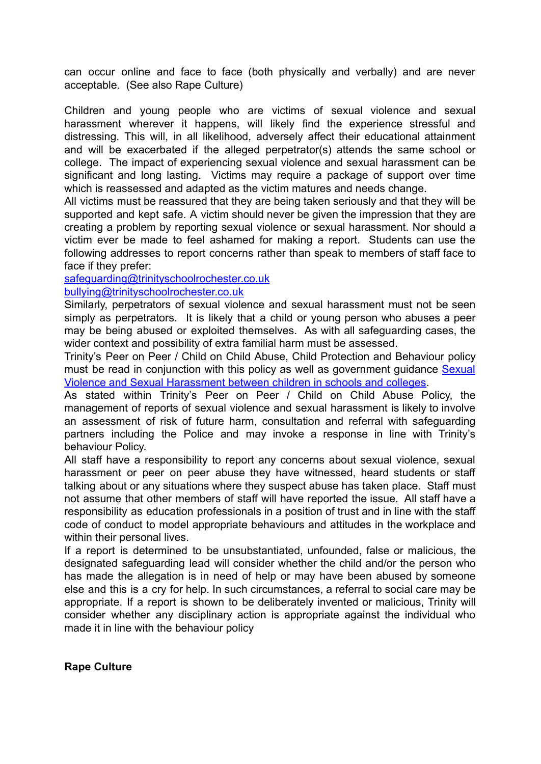can occur online and face to face (both physically and verbally) and are never acceptable. (See also Rape Culture)

Children and young people who are victims of sexual violence and sexual harassment wherever it happens, will likely find the experience stressful and distressing. This will, in all likelihood, adversely affect their educational attainment and will be exacerbated if the alleged perpetrator(s) attends the same school or college. The impact of experiencing sexual violence and sexual harassment can be significant and long lasting. Victims may require a package of support over time which is reassessed and adapted as the victim matures and needs change.

All victims must be reassured that they are being taken seriously and that they will be supported and kept safe. A victim should never be given the impression that they are creating a problem by reporting sexual violence or sexual harassment. Nor should a victim ever be made to feel ashamed for making a report. Students can use the following addresses to report concerns rather than speak to members of staff face to face if they prefer:

#### [safeguarding@trinityschoolrochester.co.uk](mailto:safeguarding@trinityschoolrochester.co.uk) [bullying@trinityschoolrochester.co.uk](mailto:bullying@trinityschoolrochester.co.uk)

Similarly, perpetrators of sexual violence and sexual harassment must not be seen simply as perpetrators. It is likely that a child or young person who abuses a peer may be being abused or exploited themselves. As with all safeguarding cases, the wider context and possibility of extra familial harm must be assessed.

Trinity's Peer on Peer / Child on Child Abuse, Child Protection and Behaviour policy must be read in conjunction with this policy as well as government guidance [Sexual](https://www.gov.uk/government/publications/sexual-violence-and-sexual-harassment-between-children-in-schools-and-colleges) [Violence and Sexual Harassment between children in schools and colleges.](https://www.gov.uk/government/publications/sexual-violence-and-sexual-harassment-between-children-in-schools-and-colleges)

As stated within Trinity's Peer on Peer / Child on Child Abuse Policy, the management of reports of sexual violence and sexual harassment is likely to involve an assessment of risk of future harm, consultation and referral with safeguarding partners including the Police and may invoke a response in line with Trinity's behaviour Policy.

All staff have a responsibility to report any concerns about sexual violence, sexual harassment or peer on peer abuse they have witnessed, heard students or staff talking about or any situations where they suspect abuse has taken place. Staff must not assume that other members of staff will have reported the issue. All staff have a responsibility as education professionals in a position of trust and in line with the staff code of conduct to model appropriate behaviours and attitudes in the workplace and within their personal lives.

If a report is determined to be unsubstantiated, unfounded, false or malicious, the designated safeguarding lead will consider whether the child and/or the person who has made the allegation is in need of help or may have been abused by someone else and this is a cry for help. In such circumstances, a referral to social care may be appropriate. If a report is shown to be deliberately invented or malicious, Trinity will consider whether any disciplinary action is appropriate against the individual who made it in line with the behaviour policy

**Rape Culture**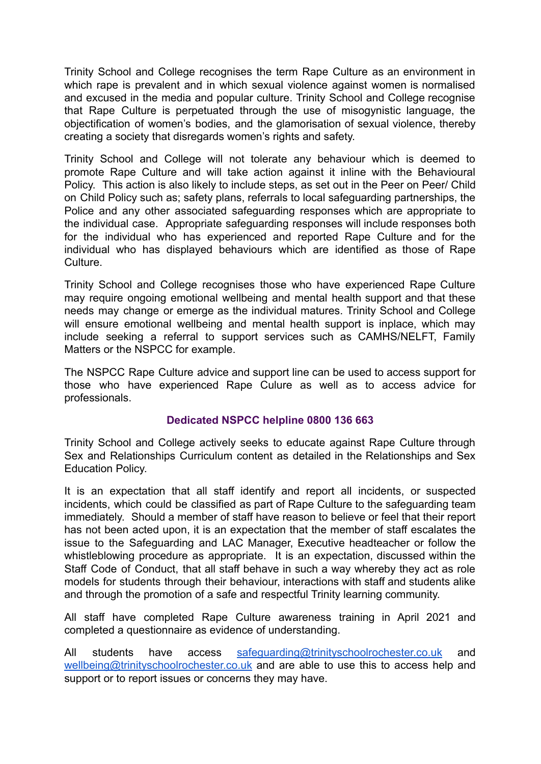Trinity School and College recognises the term Rape Culture as an environment in which rape is prevalent and in which sexual violence against women is normalised and excused in the media and popular culture. Trinity School and College recognise that Rape Culture is perpetuated through the use of misogynistic language, the objectification of women's bodies, and the glamorisation of sexual violence, thereby creating a society that disregards women's rights and safety.

Trinity School and College will not tolerate any behaviour which is deemed to promote Rape Culture and will take action against it inline with the Behavioural Policy. This action is also likely to include steps, as set out in the Peer on Peer/ Child on Child Policy such as; safety plans, referrals to local safeguarding partnerships, the Police and any other associated safeguarding responses which are appropriate to the individual case. Appropriate safeguarding responses will include responses both for the individual who has experienced and reported Rape Culture and for the individual who has displayed behaviours which are identified as those of Rape Culture.

Trinity School and College recognises those who have experienced Rape Culture may require ongoing emotional wellbeing and mental health support and that these needs may change or emerge as the individual matures. Trinity School and College will ensure emotional wellbeing and mental health support is inplace, which may include seeking a referral to support services such as CAMHS/NELFT, Family Matters or the NSPCC for example.

The NSPCC Rape Culture advice and support line can be used to access support for those who have experienced Rape Culure as well as to access advice for professionals.

# **Dedicated NSPCC helpline 0800 136 663**

Trinity School and College actively seeks to educate against Rape Culture through Sex and Relationships Curriculum content as detailed in the Relationships and Sex Education Policy.

It is an expectation that all staff identify and report all incidents, or suspected incidents, which could be classified as part of Rape Culture to the safeguarding team immediately. Should a member of staff have reason to believe or feel that their report has not been acted upon, it is an expectation that the member of staff escalates the issue to the Safeguarding and LAC Manager, Executive headteacher or follow the whistleblowing procedure as appropriate. It is an expectation, discussed within the Staff Code of Conduct, that all staff behave in such a way whereby they act as role models for students through their behaviour, interactions with staff and students alike and through the promotion of a safe and respectful Trinity learning community.

All staff have completed Rape Culture awareness training in April 2021 and completed a questionnaire as evidence of understanding.

All students have access [safeguarding@trinityschoolrochester.co.uk](mailto:safeguarding@trinityschoolrochester.co.uk) and [wellbeing@trinityschoolrochester.co.uk](mailto:wellbeing@trinityschoolrochester.co.uk) and are able to use this to access help and support or to report issues or concerns they may have.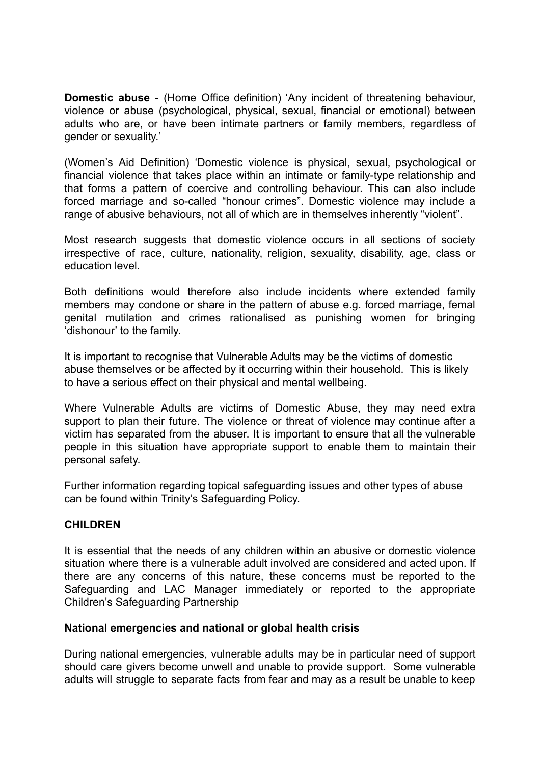**Domestic abuse** - (Home Office definition) 'Any incident of threatening behaviour, violence or abuse (psychological, physical, sexual, financial or emotional) between adults who are, or have been intimate partners or family members, regardless of gender or sexuality.'

(Women's Aid Definition) 'Domestic violence is physical, sexual, psychological or financial violence that takes place within an intimate or family-type relationship and that forms a pattern of coercive and controlling behaviour. This can also include forced marriage and so-called "honour crimes". Domestic violence may include a range of abusive behaviours, not all of which are in themselves inherently "violent".

Most research suggests that domestic violence occurs in all sections of society irrespective of race, culture, nationality, religion, sexuality, disability, age, class or education level.

Both definitions would therefore also include incidents where extended family members may condone or share in the pattern of abuse e.g. forced marriage, femal genital mutilation and crimes rationalised as punishing women for bringing 'dishonour' to the family.

It is important to recognise that Vulnerable Adults may be the victims of domestic abuse themselves or be affected by it occurring within their household. This is likely to have a serious effect on their physical and mental wellbeing.

Where Vulnerable Adults are victims of Domestic Abuse, they may need extra support to plan their future. The violence or threat of violence may continue after a victim has separated from the abuser. It is important to ensure that all the vulnerable people in this situation have appropriate support to enable them to maintain their personal safety.

Further information regarding topical safeguarding issues and other types of abuse can be found within Trinity's Safeguarding Policy.

#### **CHILDREN**

It is essential that the needs of any children within an abusive or domestic violence situation where there is a vulnerable adult involved are considered and acted upon. If there are any concerns of this nature, these concerns must be reported to the Safeguarding and LAC Manager immediately or reported to the appropriate Children's Safeguarding Partnership

#### **National emergencies and national or global health crisis**

During national emergencies, vulnerable adults may be in particular need of support should care givers become unwell and unable to provide support. Some vulnerable adults will struggle to separate facts from fear and may as a result be unable to keep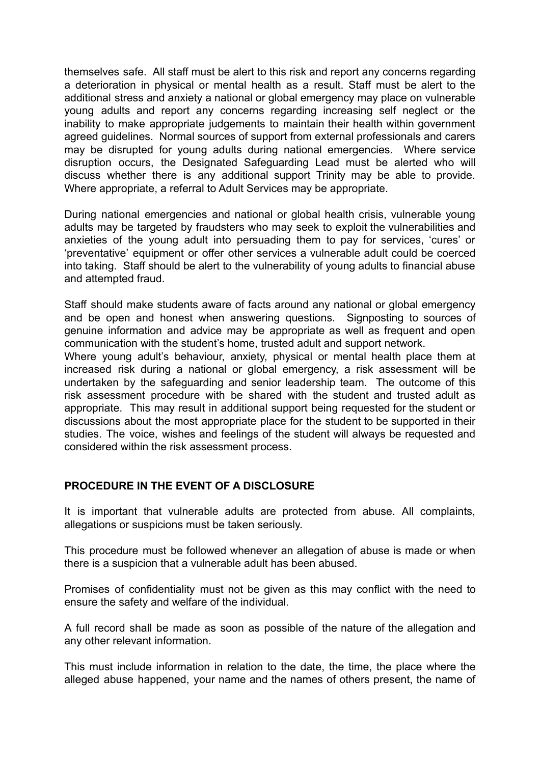themselves safe. All staff must be alert to this risk and report any concerns regarding a deterioration in physical or mental health as a result. Staff must be alert to the additional stress and anxiety a national or global emergency may place on vulnerable young adults and report any concerns regarding increasing self neglect or the inability to make appropriate judgements to maintain their health within government agreed guidelines. Normal sources of support from external professionals and carers may be disrupted for young adults during national emergencies. Where service disruption occurs, the Designated Safeguarding Lead must be alerted who will discuss whether there is any additional support Trinity may be able to provide. Where appropriate, a referral to Adult Services may be appropriate.

During national emergencies and national or global health crisis, vulnerable young adults may be targeted by fraudsters who may seek to exploit the vulnerabilities and anxieties of the young adult into persuading them to pay for services, 'cures' or 'preventative' equipment or offer other services a vulnerable adult could be coerced into taking. Staff should be alert to the vulnerability of young adults to financial abuse and attempted fraud.

Staff should make students aware of facts around any national or global emergency and be open and honest when answering questions. Signposting to sources of genuine information and advice may be appropriate as well as frequent and open communication with the student's home, trusted adult and support network.

Where young adult's behaviour, anxiety, physical or mental health place them at increased risk during a national or global emergency, a risk assessment will be undertaken by the safeguarding and senior leadership team. The outcome of this risk assessment procedure with be shared with the student and trusted adult as appropriate. This may result in additional support being requested for the student or discussions about the most appropriate place for the student to be supported in their studies. The voice, wishes and feelings of the student will always be requested and considered within the risk assessment process.

# **PROCEDURE IN THE EVENT OF A DISCLOSURE**

It is important that vulnerable adults are protected from abuse. All complaints, allegations or suspicions must be taken seriously.

This procedure must be followed whenever an allegation of abuse is made or when there is a suspicion that a vulnerable adult has been abused.

Promises of confidentiality must not be given as this may conflict with the need to ensure the safety and welfare of the individual.

A full record shall be made as soon as possible of the nature of the allegation and any other relevant information.

This must include information in relation to the date, the time, the place where the alleged abuse happened, your name and the names of others present, the name of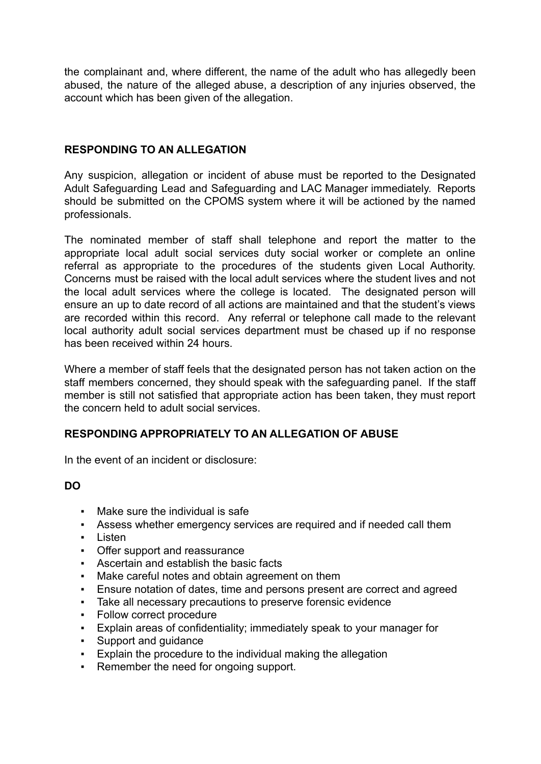the complainant and, where different, the name of the adult who has allegedly been abused, the nature of the alleged abuse, a description of any injuries observed, the account which has been given of the allegation.

# **RESPONDING TO AN ALLEGATION**

Any suspicion, allegation or incident of abuse must be reported to the Designated Adult Safeguarding Lead and Safeguarding and LAC Manager immediately. Reports should be submitted on the CPOMS system where it will be actioned by the named professionals.

The nominated member of staff shall telephone and report the matter to the appropriate local adult social services duty social worker or complete an online referral as appropriate to the procedures of the students given Local Authority. Concerns must be raised with the local adult services where the student lives and not the local adult services where the college is located. The designated person will ensure an up to date record of all actions are maintained and that the student's views are recorded within this record. Any referral or telephone call made to the relevant local authority adult social services department must be chased up if no response has been received within 24 hours.

Where a member of staff feels that the designated person has not taken action on the staff members concerned, they should speak with the safeguarding panel. If the staff member is still not satisfied that appropriate action has been taken, they must report the concern held to adult social services.

# **RESPONDING APPROPRIATELY TO AN ALLEGATION OF ABUSE**

In the event of an incident or disclosure:

# **DO**

- Make sure the individual is safe
- Assess whether emergency services are required and if needed call them
- Listen
- Offer support and reassurance
- Ascertain and establish the basic facts
- Make careful notes and obtain agreement on them
- Ensure notation of dates, time and persons present are correct and agreed
- Take all necessary precautions to preserve forensic evidence
- Follow correct procedure
- Explain areas of confidentiality; immediately speak to your manager for
- Support and guidance
- Explain the procedure to the individual making the allegation
- Remember the need for ongoing support.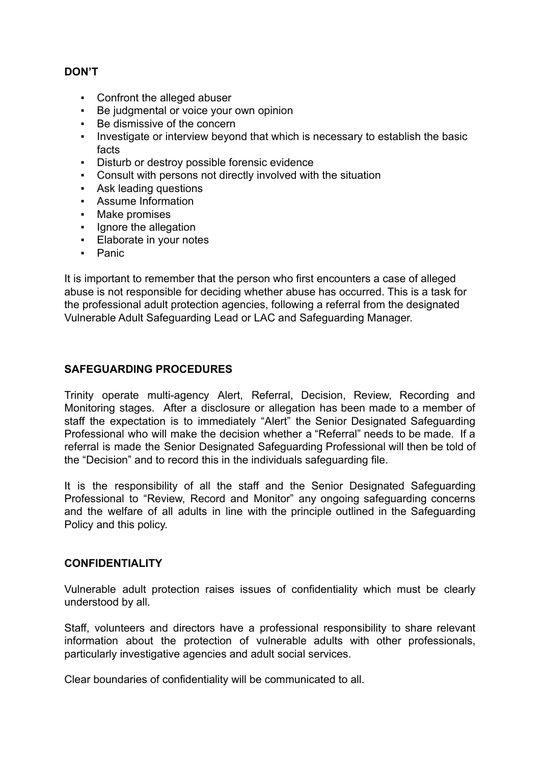# **DON'T**

- Confront the alleged abuser
- Be judgmental or voice your own opinion
- Be dismissive of the concern
- Investigate or interview beyond that which is necessary to establish the basic facts
- Disturb or destroy possible forensic evidence
- Consult with persons not directly involved with the situation
- Ask leading questions
- Assume Information
- Make promises
- **•** Ignore the allegation
- **Elaborate in your notes**
- Panic

It is important to remember that the person who first encounters a case of alleged abuse is not responsible for deciding whether abuse has occurred. This is a task for the professional adult protection agencies, following a referral from the designated Vulnerable Adult Safeguarding Lead or LAC and Safeguarding Manager.

# **SAFEGUARDING PROCEDURES**

Trinity operate multi-agency Alert, Referral, Decision, Review, Recording and Monitoring stages. After a disclosure or allegation has been made to a member of staff the expectation is to immediately "Alert" the Senior Designated Safeguarding Professional who will make the decision whether a "Referral" needs to be made. If a referral is made the Senior Designated Safeguarding Professional will then be told of the "Decision" and to record this in the individuals safeguarding file.

It is the responsibility of all the staff and the Senior Designated Safeguarding Professional to "Review, Record and Monitor" any ongoing safeguarding concerns and the welfare of all adults in line with the principle outlined in the Safeguarding Policy and this policy.

# **CONFIDENTIALITY**

Vulnerable adult protection raises issues of confidentiality which must be clearly understood by all.

Staff, volunteers and directors have a professional responsibility to share relevant information about the protection of vulnerable adults with other professionals, particularly investigative agencies and adult social services.

Clear boundaries of confidentiality will be communicated to all.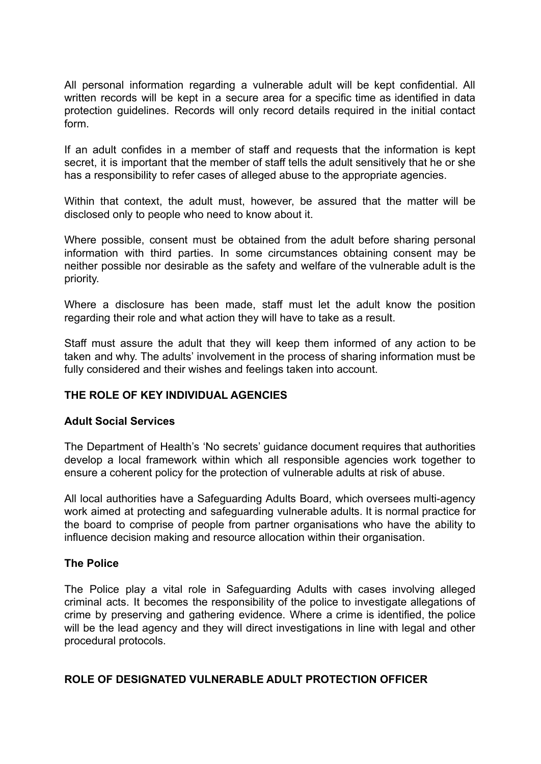All personal information regarding a vulnerable adult will be kept confidential. All written records will be kept in a secure area for a specific time as identified in data protection guidelines. Records will only record details required in the initial contact form.

If an adult confides in a member of staff and requests that the information is kept secret, it is important that the member of staff tells the adult sensitively that he or she has a responsibility to refer cases of alleged abuse to the appropriate agencies.

Within that context, the adult must, however, be assured that the matter will be disclosed only to people who need to know about it.

Where possible, consent must be obtained from the adult before sharing personal information with third parties. In some circumstances obtaining consent may be neither possible nor desirable as the safety and welfare of the vulnerable adult is the priority.

Where a disclosure has been made, staff must let the adult know the position regarding their role and what action they will have to take as a result.

Staff must assure the adult that they will keep them informed of any action to be taken and why. The adults' involvement in the process of sharing information must be fully considered and their wishes and feelings taken into account.

# **THE ROLE OF KEY INDIVIDUAL AGENCIES**

#### **Adult Social Services**

The Department of Health's 'No secrets' guidance document requires that authorities develop a local framework within which all responsible agencies work together to ensure a coherent policy for the protection of vulnerable adults at risk of abuse.

All local authorities have a Safeguarding Adults Board, which oversees multi-agency work aimed at protecting and safeguarding vulnerable adults. It is normal practice for the board to comprise of people from partner organisations who have the ability to influence decision making and resource allocation within their organisation.

#### **The Police**

The Police play a vital role in Safeguarding Adults with cases involving alleged criminal acts. It becomes the responsibility of the police to investigate allegations of crime by preserving and gathering evidence. Where a crime is identified, the police will be the lead agency and they will direct investigations in line with legal and other procedural protocols.

#### **ROLE OF DESIGNATED VULNERABLE ADULT PROTECTION OFFICER**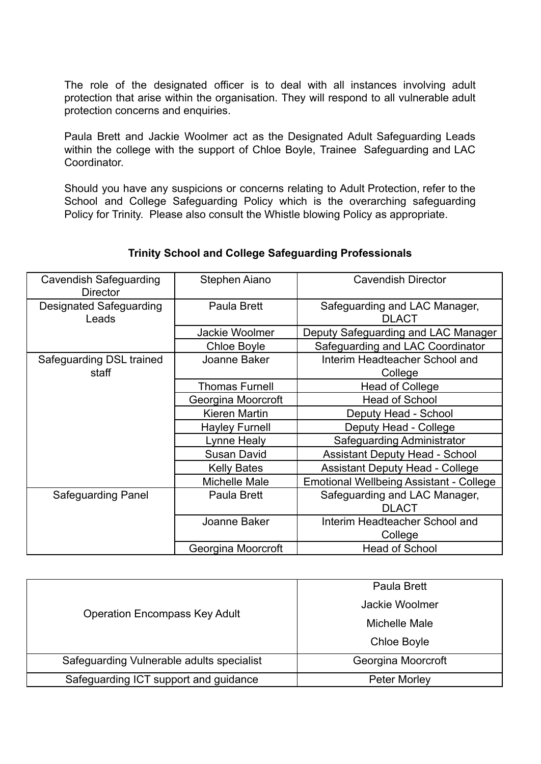The role of the designated officer is to deal with all instances involving adult protection that arise within the organisation. They will respond to all vulnerable adult protection concerns and enquiries.

Paula Brett and Jackie Woolmer act as the Designated Adult Safeguarding Leads within the college with the support of Chloe Boyle. Trainee Safeguarding and LAC Coordinator.

Should you have any suspicions or concerns relating to Adult Protection, refer to the School and College Safeguarding Policy which is the overarching safeguarding Policy for Trinity. Please also consult the Whistle blowing Policy as appropriate.

#### Cavendish Safeguarding **Director** Stephen Aiano  $\vert$  Cavendish Director Designated Safeguarding Leads Paula Brett Safeguarding and LAC Manager, DLACT Jackie Woolmer | Deputy Safeguarding and LAC Manager Chloe Boyle **Safeguarding and LAC Coordinator** Safeguarding DSL trained staff Joanne Baker Interim Headteacher School and **College** Thomas Furnell | Head of College Georgina Moorcroft | Head of School Kieren Martin  $\vert$  Deputy Head - School Hayley Furnell | Deputy Head - College Lynne Healy **Lynne Healy** Safeguarding Administrator Susan David **Assistant Deputy Head - School** Kelly Bates **Assistant Deputy Head - College** Michelle Male | Emotional Wellbeing Assistant - College Safeguarding Panel Paula Brett Safeguarding and LAC Manager, DLACT Joanne Baker Interim Headteacher School and College Georgina Moorcroft | Head of School

# **Trinity School and College Safeguarding Professionals**

| <b>Operation Encompass Key Adult</b>      | Paula Brett         |
|-------------------------------------------|---------------------|
|                                           | Jackie Woolmer      |
|                                           | Michelle Male       |
|                                           | <b>Chloe Boyle</b>  |
| Safeguarding Vulnerable adults specialist | Georgina Moorcroft  |
| Safeguarding ICT support and guidance     | <b>Peter Morley</b> |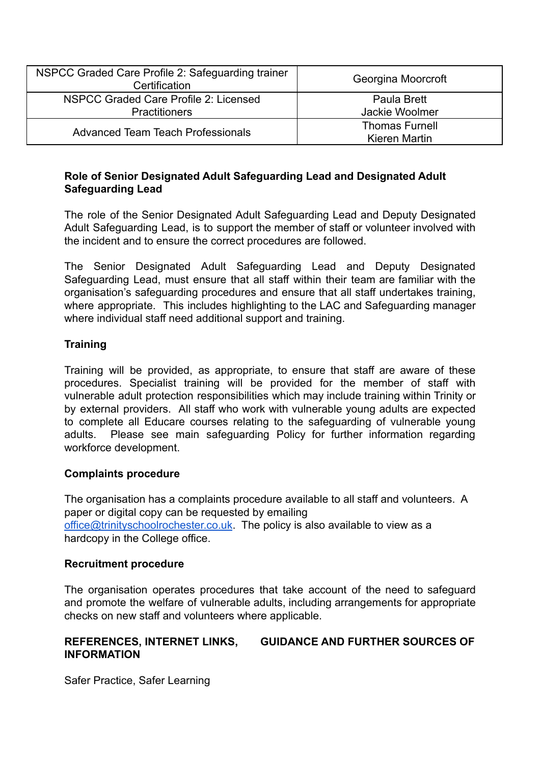| NSPCC Graded Care Profile 2: Safeguarding trainer<br>Certification | Georgina Moorcroft                     |
|--------------------------------------------------------------------|----------------------------------------|
| NSPCC Graded Care Profile 2: Licensed<br><b>Practitioners</b>      | Paula Brett<br>Jackie Woolmer          |
| <b>Advanced Team Teach Professionals</b>                           | <b>Thomas Furnell</b><br>Kieren Martin |

#### **Role of Senior Designated Adult Safeguarding Lead and Designated Adult Safeguarding Lead**

The role of the Senior Designated Adult Safeguarding Lead and Deputy Designated Adult Safeguarding Lead, is to support the member of staff or volunteer involved with the incident and to ensure the correct procedures are followed.

The Senior Designated Adult Safeguarding Lead and Deputy Designated Safeguarding Lead, must ensure that all staff within their team are familiar with the organisation's safeguarding procedures and ensure that all staff undertakes training, where appropriate. This includes highlighting to the LAC and Safeguarding manager where individual staff need additional support and training.

# **Training**

Training will be provided, as appropriate, to ensure that staff are aware of these procedures. Specialist training will be provided for the member of staff with vulnerable adult protection responsibilities which may include training within Trinity or by external providers. All staff who work with vulnerable young adults are expected to complete all Educare courses relating to the safeguarding of vulnerable young adults. Please see main safeguarding Policy for further information regarding workforce development.

# **Complaints procedure**

The organisation has a complaints procedure available to all staff and volunteers. A paper or digital copy can be requested by emailing [office@trinityschoolrochester.co.uk](mailto:office@trinityschoolrochester.co.uk). The policy is also available to view as a hardcopy in the College office.

# **Recruitment procedure**

The organisation operates procedures that take account of the need to safeguard and promote the welfare of vulnerable adults, including arrangements for appropriate checks on new staff and volunteers where applicable.

#### **REFERENCES, INTERNET LINKS, GUIDANCE AND FURTHER SOURCES OF INFORMATION**

Safer Practice, Safer Learning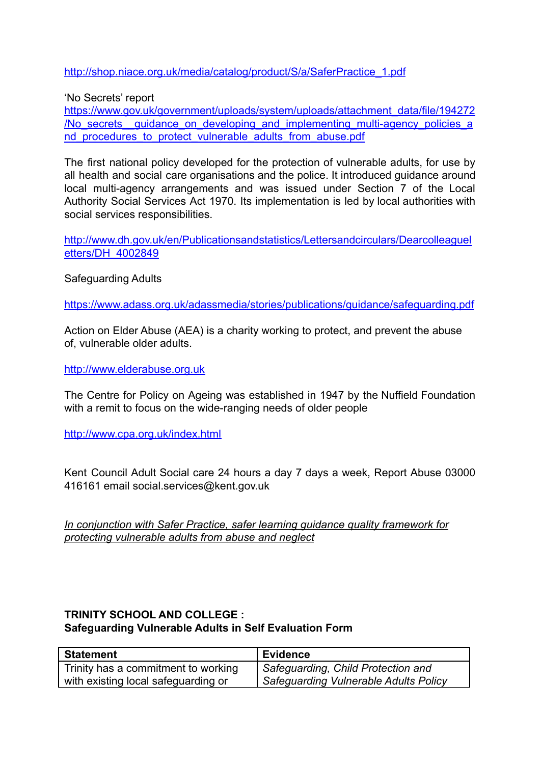[http://shop.niace.org.uk/media/catalog/product/S/a/SaferPractice\\_1.pdf](http://shop.niace.org.uk/media/catalog/product/S/a/SaferPractice_1.pdf)

'No Secrets' report

[https://www.gov.uk/government/uploads/system/uploads/attachment\\_data/file/194272](https://www.gov.uk/government/uploads/system/uploads/attachment_data/file/194272/No_secrets__guidance_on_developing_and_implementing_multi-agency_policies_and_procedures_to_protect_vulnerable_adults_from_abuse.pdf) /No secrets quidance on developing and implementing multi-agency policies a [nd\\_procedures\\_to\\_protect\\_vulnerable\\_adults\\_from\\_abuse.pdf](https://www.gov.uk/government/uploads/system/uploads/attachment_data/file/194272/No_secrets__guidance_on_developing_and_implementing_multi-agency_policies_and_procedures_to_protect_vulnerable_adults_from_abuse.pdf)

The first national policy developed for the protection of vulnerable adults, for use by all health and social care organisations and the police. It introduced guidance around local multi-agency arrangements and was issued under Section 7 of the Local Authority Social Services Act 1970. Its implementation is led by local authorities with social services responsibilities.

[http://www.dh.gov.uk/en/Publicationsandstatistics/Lettersandcirculars/Dearcolleaguel](http://www.dh.gov.uk/en/Publicationsandstatistics/Lettersandcirculars/Dearcolleagueletters/DH_4002849) [etters/DH\\_4002849](http://www.dh.gov.uk/en/Publicationsandstatistics/Lettersandcirculars/Dearcolleagueletters/DH_4002849)

Safeguarding Adults

<https://www.adass.org.uk/adassmedia/stories/publications/guidance/safeguarding.pdf>

Action on Elder Abuse (AEA) is a charity working to protect, and prevent the abuse of, vulnerable older adults.

<http://www.elderabuse.org.uk>

The Centre for Policy on Ageing was established in 1947 by the Nuffield Foundation with a remit to focus on the wide-ranging needs of older people

<http://www.cpa.org.uk/index.html>

Kent Council Adult Social care 24 hours a day 7 days a week, Report Abuse 03000 416161 email social.services@kent.gov.uk

*In conjunction with Safer Practice, safer learning guidance quality framework for protecting vulnerable adults from abuse and neglect*

# **TRINITY SCHOOL AND COLLEGE : Safeguarding Vulnerable Adults in Self Evaluation Form**

| <b>Statement</b>                    | <b>Evidence</b>                              |
|-------------------------------------|----------------------------------------------|
| Trinity has a commitment to working | Safeguarding, Child Protection and           |
| with existing local safeguarding or | <b>Safeguarding Vulnerable Adults Policy</b> |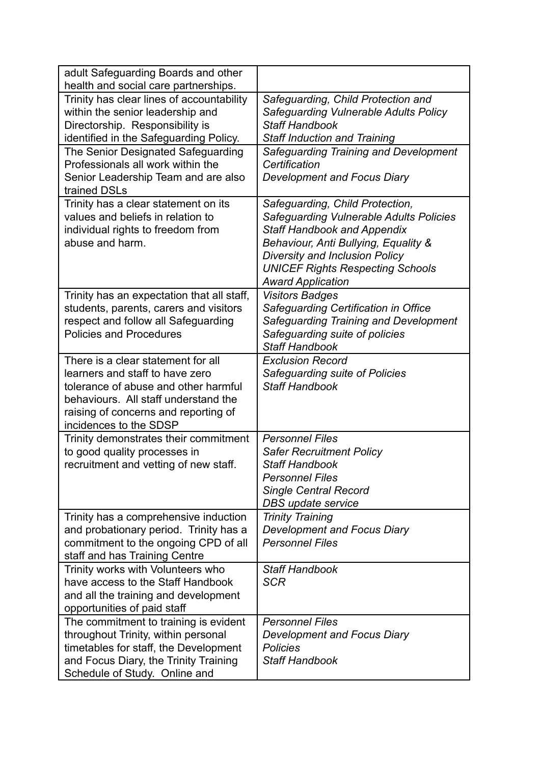| adult Safeguarding Boards and other<br>health and social care partnerships.                                                                                                                                             |                                                                                                                                                                                                                                                                          |
|-------------------------------------------------------------------------------------------------------------------------------------------------------------------------------------------------------------------------|--------------------------------------------------------------------------------------------------------------------------------------------------------------------------------------------------------------------------------------------------------------------------|
| Trinity has clear lines of accountability<br>within the senior leadership and<br>Directorship. Responsibility is<br>identified in the Safeguarding Policy.                                                              | Safeguarding, Child Protection and<br><b>Safeguarding Vulnerable Adults Policy</b><br><b>Staff Handbook</b><br><b>Staff Induction and Training</b>                                                                                                                       |
| The Senior Designated Safeguarding<br>Professionals all work within the<br>Senior Leadership Team and are also<br>trained DSLs                                                                                          | Safeguarding Training and Development<br>Certification<br><b>Development and Focus Diary</b>                                                                                                                                                                             |
| Trinity has a clear statement on its<br>values and beliefs in relation to<br>individual rights to freedom from<br>abuse and harm.                                                                                       | Safeguarding, Child Protection,<br><b>Safeguarding Vulnerable Adults Policies</b><br><b>Staff Handbook and Appendix</b><br>Behaviour, Anti Bullying, Equality &<br>Diversity and Inclusion Policy<br><b>UNICEF Rights Respecting Schools</b><br><b>Award Application</b> |
| Trinity has an expectation that all staff,<br>students, parents, carers and visitors<br>respect and follow all Safeguarding<br><b>Policies and Procedures</b>                                                           | <b>Visitors Badges</b><br>Safequarding Certification in Office<br>Safeguarding Training and Development<br>Safeguarding suite of policies<br><b>Staff Handbook</b>                                                                                                       |
| There is a clear statement for all<br>learners and staff to have zero<br>tolerance of abuse and other harmful<br>behaviours. All staff understand the<br>raising of concerns and reporting of<br>incidences to the SDSP | <b>Exclusion Record</b><br>Safeguarding suite of Policies<br><b>Staff Handbook</b>                                                                                                                                                                                       |
| Trinity demonstrates their commitment<br>to good quality processes in<br>recruitment and vetting of new staff.                                                                                                          | <b>Personnel Files</b><br><b>Safer Recruitment Policy</b><br><b>Staff Handbook</b><br><b>Personnel Files</b><br><b>Single Central Record</b><br>DBS update service                                                                                                       |
| Trinity has a comprehensive induction<br>and probationary period. Trinity has a<br>commitment to the ongoing CPD of all<br>staff and has Training Centre                                                                | <b>Trinity Training</b><br><b>Development and Focus Diary</b><br><b>Personnel Files</b>                                                                                                                                                                                  |
| Trinity works with Volunteers who<br>have access to the Staff Handbook<br>and all the training and development<br>opportunities of paid staff                                                                           | <b>Staff Handbook</b><br><b>SCR</b>                                                                                                                                                                                                                                      |
| The commitment to training is evident<br>throughout Trinity, within personal<br>timetables for staff, the Development<br>and Focus Diary, the Trinity Training<br>Schedule of Study. Online and                         | <b>Personnel Files</b><br><b>Development and Focus Diary</b><br><b>Policies</b><br><b>Staff Handbook</b>                                                                                                                                                                 |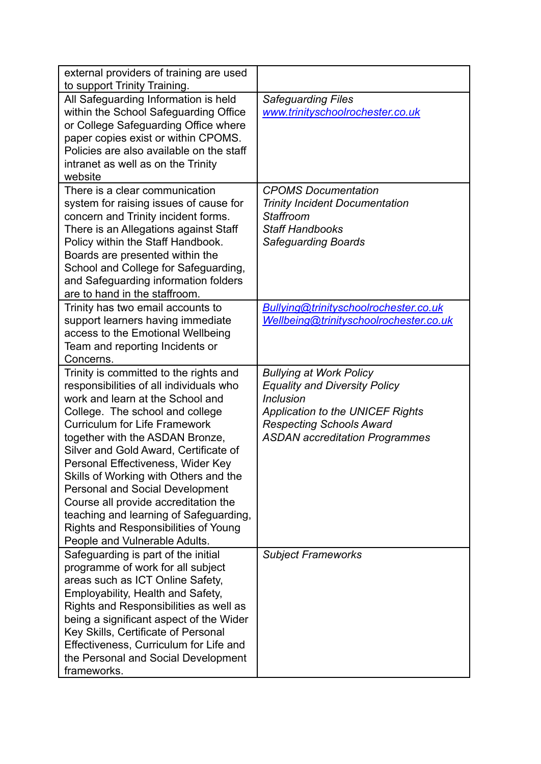| external providers of training are used<br>to support Trinity Training.                                                                                                                                                                                                                                                                                                                                                                                                                                                                                                |                                                                                                                                                                                                                   |
|------------------------------------------------------------------------------------------------------------------------------------------------------------------------------------------------------------------------------------------------------------------------------------------------------------------------------------------------------------------------------------------------------------------------------------------------------------------------------------------------------------------------------------------------------------------------|-------------------------------------------------------------------------------------------------------------------------------------------------------------------------------------------------------------------|
| All Safeguarding Information is held<br>within the School Safeguarding Office<br>or College Safeguarding Office where<br>paper copies exist or within CPOMS.<br>Policies are also available on the staff<br>intranet as well as on the Trinity<br>website                                                                                                                                                                                                                                                                                                              | <b>Safeguarding Files</b><br>www.trinityschoolrochester.co.uk                                                                                                                                                     |
| There is a clear communication<br>system for raising issues of cause for<br>concern and Trinity incident forms.<br>There is an Allegations against Staff<br>Policy within the Staff Handbook.<br>Boards are presented within the<br>School and College for Safeguarding,<br>and Safeguarding information folders<br>are to hand in the staffroom.                                                                                                                                                                                                                      | <b>CPOMS Documentation</b><br><b>Trinity Incident Documentation</b><br>Staffroom<br><b>Staff Handbooks</b><br><b>Safeguarding Boards</b>                                                                          |
| Trinity has two email accounts to<br>support learners having immediate<br>access to the Emotional Wellbeing<br>Team and reporting Incidents or<br>Concerns.                                                                                                                                                                                                                                                                                                                                                                                                            | Bullying@trinityschoolrochester.co.uk<br>Wellbeing@trinityschoolrochester.co.uk                                                                                                                                   |
| Trinity is committed to the rights and<br>responsibilities of all individuals who<br>work and learn at the School and<br>College. The school and college<br><b>Curriculum for Life Framework</b><br>together with the ASDAN Bronze,<br>Silver and Gold Award, Certificate of<br>Personal Effectiveness, Wider Key<br>Skills of Working with Others and the<br><b>Personal and Social Development</b><br>Course all provide accreditation the<br>teaching and learning of Safeguarding,<br><b>Rights and Responsibilities of Young</b><br>People and Vulnerable Adults. | <b>Bullying at Work Policy</b><br><b>Equality and Diversity Policy</b><br><b>Inclusion</b><br><b>Application to the UNICEF Rights</b><br><b>Respecting Schools Award</b><br><b>ASDAN accreditation Programmes</b> |
| Safeguarding is part of the initial<br>programme of work for all subject<br>areas such as ICT Online Safety,<br>Employability, Health and Safety,<br>Rights and Responsibilities as well as<br>being a significant aspect of the Wider<br>Key Skills, Certificate of Personal<br>Effectiveness, Curriculum for Life and<br>the Personal and Social Development<br>frameworks.                                                                                                                                                                                          | <b>Subject Frameworks</b>                                                                                                                                                                                         |